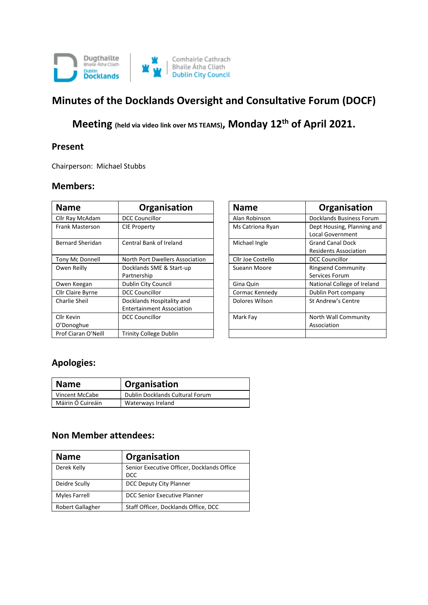

# **Minutes of the Docklands Oversight and Consultative Forum (DOCF)**

**Meeting (held via video link over MS TEAMS), Monday 12th of April 2021.**

#### **Present**

Chairperson: Michael Stubbs

#### **Members:**

| <b>Name</b>              | Organisation                                                  | <b>Name</b>       | Organisation                                            |
|--------------------------|---------------------------------------------------------------|-------------------|---------------------------------------------------------|
| Cllr Ray McAdam          | <b>DCC Councillor</b>                                         | Alan Robinson     | Docklands Business Forum                                |
| Frank Masterson          | <b>CIE Property</b>                                           | Ms Catriona Ryan  | Dept Housing, Planning and<br><b>Local Government</b>   |
| Bernard Sheridan         | Central Bank of Ireland                                       | Michael Ingle     | <b>Grand Canal Dock</b><br><b>Residents Association</b> |
| Tony Mc Donnell          | North Port Dwellers Association                               | Cllr Joe Costello | <b>DCC Councillor</b>                                   |
| Owen Reilly              | Docklands SME & Start-up<br>Partnership                       | Sueann Moore      | <b>Ringsend Community</b><br>Services Forum             |
| Owen Keegan              | Dublin City Council                                           | Gina Quin         | National College of Ireland                             |
| <b>Cllr Claire Byrne</b> | <b>DCC Councillor</b>                                         | Cormac Kennedy    | Dublin Port company                                     |
| Charlie Sheil            | Docklands Hospitality and<br><b>Entertainment Association</b> | Dolores Wilson    | St Andrew's Centre                                      |
| Cllr Kevin<br>O'Donoghue | <b>DCC Councillor</b>                                         | Mark Fay          | North Wall Community<br>Association                     |
| Prof Ciaran O'Neill      | <b>Trinity College Dublin</b>                                 |                   |                                                         |

| Organisation                                                  | <b>Name</b>       | Organisation                                            |
|---------------------------------------------------------------|-------------------|---------------------------------------------------------|
| <b>DCC Councillor</b>                                         | Alan Robinson     | Docklands Business Forum                                |
| <b>CIE Property</b>                                           | Ms Catriona Ryan  | Dept Housing, Planning and<br><b>Local Government</b>   |
| Central Bank of Ireland                                       | Michael Ingle     | <b>Grand Canal Dock</b><br><b>Residents Association</b> |
| North Port Dwellers Association                               | Cllr Joe Costello | <b>DCC Councillor</b>                                   |
| Docklands SME & Start-up<br>Partnership                       | Sueann Moore      | <b>Ringsend Community</b><br>Services Forum             |
| Dublin City Council                                           | Gina Quin         | National College of Ireland                             |
| <b>DCC Councillor</b>                                         | Cormac Kennedy    | Dublin Port company                                     |
| Docklands Hospitality and<br><b>Entertainment Association</b> | Dolores Wilson    | St Andrew's Centre                                      |
| <b>DCC Councillor</b>                                         | Mark Fay          | North Wall Community<br>Association                     |
| <b>Trinity College Dublin</b>                                 |                   |                                                         |

### **Apologies:**

| <b>Name</b>       | <sup>'</sup> Organisation       |
|-------------------|---------------------------------|
| Vincent McCabe    | Dublin Docklands Cultural Forum |
| Máirin Ó Cuireáin | Waterways Ireland               |

#### **Non Member attendees:**

| <b>Name</b>      | Organisation                                             |
|------------------|----------------------------------------------------------|
| Derek Kelly      | Senior Executive Officer, Docklands Office<br><b>DCC</b> |
| Deidre Scully    | DCC Deputy City Planner                                  |
| Myles Farrell    | DCC Senior Executive Planner                             |
| Robert Gallagher | Staff Officer, Docklands Office, DCC                     |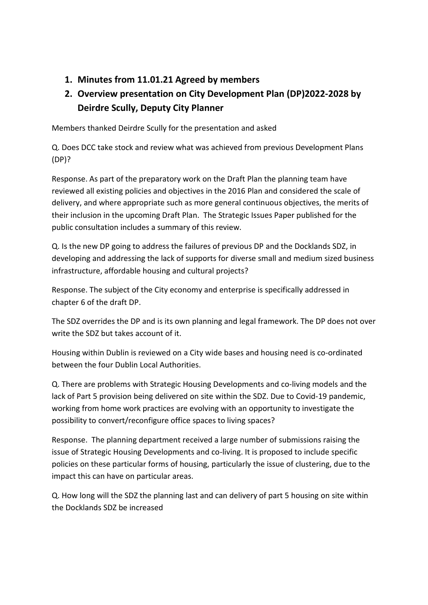**1. Minutes from 11.01.21 Agreed by members**

## **2. Overview presentation on City Development Plan (DP)2022-2028 by Deirdre Scully, Deputy City Planner**

Members thanked Deirdre Scully for the presentation and asked

Q. Does DCC take stock and review what was achieved from previous Development Plans (DP)?

Response. As part of the preparatory work on the Draft Plan the planning team have reviewed all existing policies and objectives in the 2016 Plan and considered the scale of delivery, and where appropriate such as more general continuous objectives, the merits of their inclusion in the upcoming Draft Plan. The Strategic Issues Paper published for the public consultation includes a summary of this review.

Q. Is the new DP going to address the failures of previous DP and the Docklands SDZ, in developing and addressing the lack of supports for diverse small and medium sized business infrastructure, affordable housing and cultural projects?

Response. The subject of the City economy and enterprise is specifically addressed in chapter 6 of the draft DP.

The SDZ overrides the DP and is its own planning and legal framework. The DP does not over write the SDZ but takes account of it.

Housing within Dublin is reviewed on a City wide bases and housing need is co-ordinated between the four Dublin Local Authorities.

Q. There are problems with Strategic Housing Developments and co-living models and the lack of Part 5 provision being delivered on site within the SDZ. Due to Covid-19 pandemic, working from home work practices are evolving with an opportunity to investigate the possibility to convert/reconfigure office spaces to living spaces?

Response. The planning department received a large number of submissions raising the issue of Strategic Housing Developments and co-living. It is proposed to include specific policies on these particular forms of housing, particularly the issue of clustering, due to the impact this can have on particular areas.

Q. How long will the SDZ the planning last and can delivery of part 5 housing on site within the Docklands SDZ be increased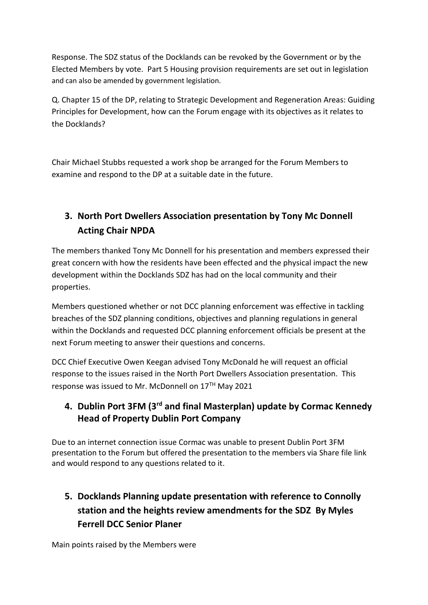Response. The SDZ status of the Docklands can be revoked by the Government or by the Elected Members by vote. Part 5 Housing provision requirements are set out in legislation and can also be amended by government legislation.

Q. Chapter 15 of the DP, relating to Strategic Development and Regeneration Areas: Guiding Principles for Development, how can the Forum engage with its objectives as it relates to the Docklands?

Chair Michael Stubbs requested a work shop be arranged for the Forum Members to examine and respond to the DP at a suitable date in the future.

## **3. North Port Dwellers Association presentation by Tony Mc Donnell Acting Chair NPDA**

The members thanked Tony Mc Donnell for his presentation and members expressed their great concern with how the residents have been effected and the physical impact the new development within the Docklands SDZ has had on the local community and their properties.

Members questioned whether or not DCC planning enforcement was effective in tackling breaches of the SDZ planning conditions, objectives and planning regulations in general within the Docklands and requested DCC planning enforcement officials be present at the next Forum meeting to answer their questions and concerns.

DCC Chief Executive Owen Keegan advised Tony McDonald he will request an official response to the issues raised in the North Port Dwellers Association presentation. This response was issued to Mr. McDonnell on 17TH May 2021

### **4. Dublin Port 3FM (3rd and final Masterplan) update by Cormac Kennedy Head of Property Dublin Port Company**

Due to an internet connection issue Cormac was unable to present Dublin Port 3FM presentation to the Forum but offered the presentation to the members via Share file link and would respond to any questions related to it.

## **5. Docklands Planning update presentation with reference to Connolly station and the heights review amendments for the SDZ By Myles Ferrell DCC Senior Planer**

Main points raised by the Members were